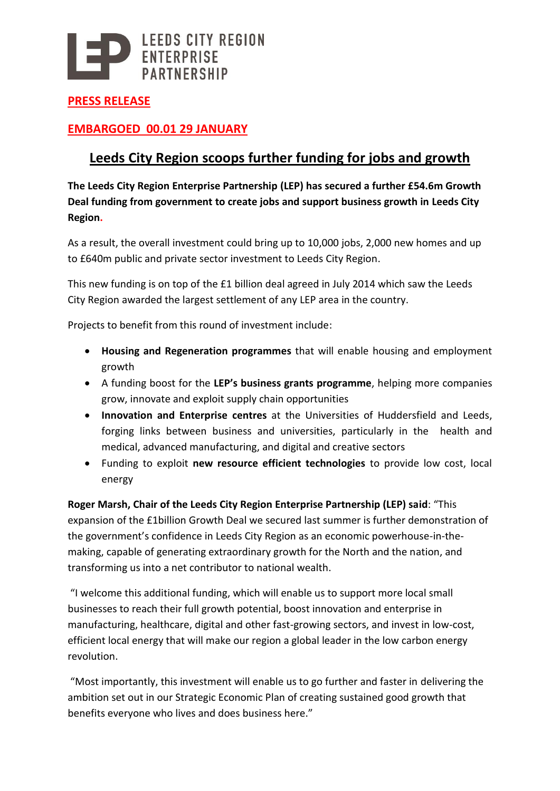

**PRESS RELEASE**

### **EMBARGOED 00.01 29 JANUARY**

## **Leeds City Region scoops further funding for jobs and growth**

**The Leeds City Region Enterprise Partnership (LEP) has secured a further £54.6m Growth Deal funding from government to create jobs and support business growth in Leeds City Region.**

As a result, the overall investment could bring up to 10,000 jobs, 2,000 new homes and up to £640m public and private sector investment to Leeds City Region.

This new funding is on top of the £1 billion deal agreed in July 2014 which saw the Leeds City Region awarded the largest settlement of any LEP area in the country.

Projects to benefit from this round of investment include:

- **Housing and Regeneration programmes** that will enable housing and employment growth
- A funding boost for the **LEP's business grants programme**, helping more companies grow, innovate and exploit supply chain opportunities
- **Innovation and Enterprise centres** at the Universities of Huddersfield and Leeds, forging links between business and universities, particularly in the health and medical, advanced manufacturing, and digital and creative sectors
- Funding to exploit **new resource efficient technologies** to provide low cost, local energy

**Roger Marsh, Chair of the Leeds City Region Enterprise Partnership (LEP) said**: "This expansion of the £1billion Growth Deal we secured last summer is further demonstration of the government's confidence in Leeds City Region as an economic powerhouse-in-themaking, capable of generating extraordinary growth for the North and the nation, and transforming us into a net contributor to national wealth.

"I welcome this additional funding, which will enable us to support more local small businesses to reach their full growth potential, boost innovation and enterprise in manufacturing, healthcare, digital and other fast-growing sectors, and invest in low-cost, efficient local energy that will make our region a global leader in the low carbon energy revolution.

"Most importantly, this investment will enable us to go further and faster in delivering the ambition set out in our Strategic Economic Plan of creating sustained good growth that benefits everyone who lives and does business here."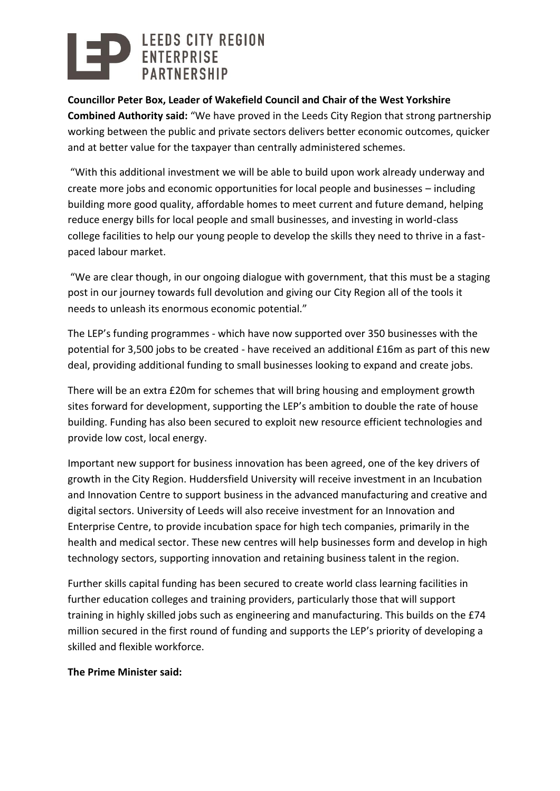# LEEDS CITY REGION<br>ENTERPRISE

**Councillor Peter Box, Leader of Wakefield Council and Chair of the West Yorkshire Combined Authority said:** "We have proved in the Leeds City Region that strong partnership working between the public and private sectors delivers better economic outcomes, quicker and at better value for the taxpayer than centrally administered schemes.

"With this additional investment we will be able to build upon work already underway and create more jobs and economic opportunities for local people and businesses – including building more good quality, affordable homes to meet current and future demand, helping reduce energy bills for local people and small businesses, and investing in world-class college facilities to help our young people to develop the skills they need to thrive in a fastpaced labour market.

"We are clear though, in our ongoing dialogue with government, that this must be a staging post in our journey towards full devolution and giving our City Region all of the tools it needs to unleash its enormous economic potential."

The LEP's funding programmes - which have now supported over 350 businesses with the potential for 3,500 jobs to be created - have received an additional £16m as part of this new deal, providing additional funding to small businesses looking to expand and create jobs.

There will be an extra £20m for schemes that will bring housing and employment growth sites forward for development, supporting the LEP's ambition to double the rate of house building. Funding has also been secured to exploit new resource efficient technologies and provide low cost, local energy.

Important new support for business innovation has been agreed, one of the key drivers of growth in the City Region. Huddersfield University will receive investment in an Incubation and Innovation Centre to support business in the advanced manufacturing and creative and digital sectors. University of Leeds will also receive investment for an Innovation and Enterprise Centre, to provide incubation space for high tech companies, primarily in the health and medical sector. These new centres will help businesses form and develop in high technology sectors, supporting innovation and retaining business talent in the region.

Further skills capital funding has been secured to create world class learning facilities in further education colleges and training providers, particularly those that will support training in highly skilled jobs such as engineering and manufacturing. This builds on the £74 million secured in the first round of funding and supports the LEP's priority of developing a skilled and flexible workforce.

#### **The Prime Minister said:**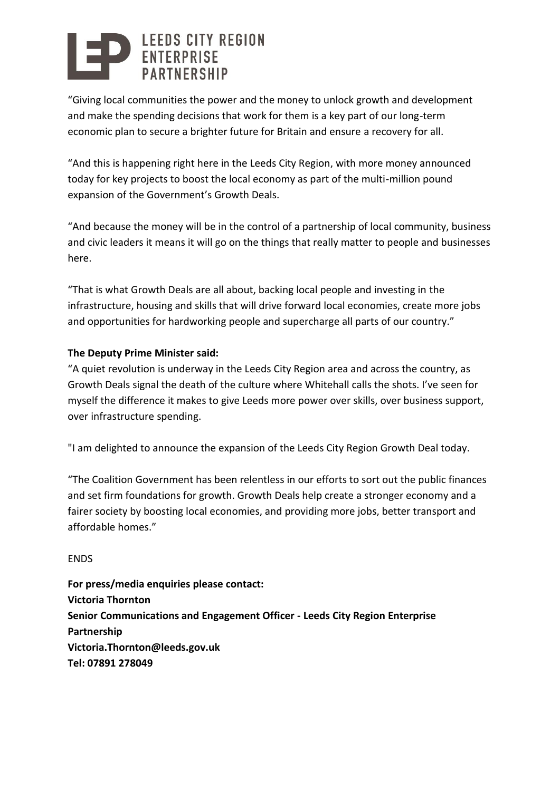# LEEDS CITY REGION<br>ENTERPRISE

"Giving local communities the power and the money to unlock growth and development and make the spending decisions that work for them is a key part of our long-term economic plan to secure a brighter future for Britain and ensure a recovery for all.

"And this is happening right here in the Leeds City Region, with more money announced today for key projects to boost the local economy as part of the multi-million pound expansion of the Government's Growth Deals.

"And because the money will be in the control of a partnership of local community, business and civic leaders it means it will go on the things that really matter to people and businesses here.

"That is what Growth Deals are all about, backing local people and investing in the infrastructure, housing and skills that will drive forward local economies, create more jobs and opportunities for hardworking people and supercharge all parts of our country."

### **The Deputy Prime Minister said:**

"A quiet revolution is underway in the Leeds City Region area and across the country, as Growth Deals signal the death of the culture where Whitehall calls the shots. I've seen for myself the difference it makes to give Leeds more power over skills, over business support, over infrastructure spending.

"I am delighted to announce the expansion of the Leeds City Region Growth Deal today.

"The Coalition Government has been relentless in our efforts to sort out the public finances and set firm foundations for growth. Growth Deals help create a stronger economy and a fairer society by boosting local economies, and providing more jobs, better transport and affordable homes."

ENDS

**For press/media enquiries please contact: Victoria Thornton Senior Communications and Engagement Officer - Leeds City Region Enterprise Partnership Victoria.Thornton@leeds.gov.uk Tel: 07891 278049**